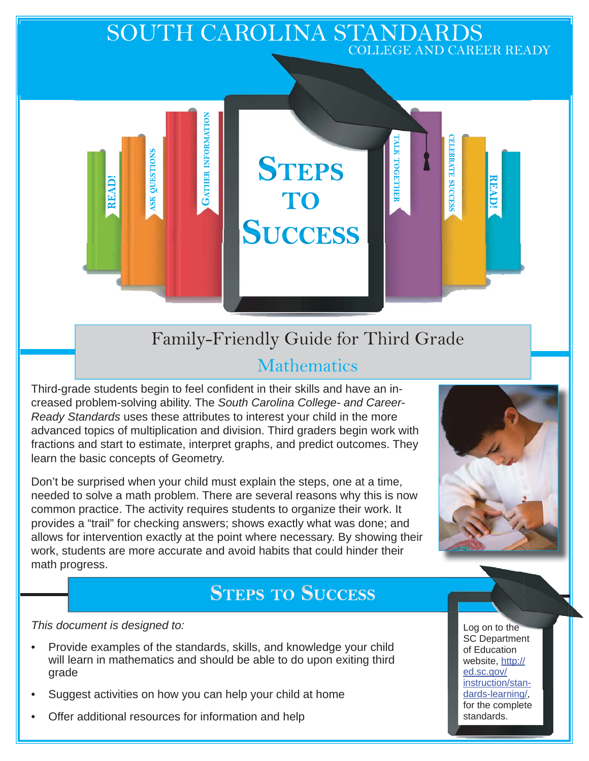## SOUTH CAROLINA STANDARDS COLLEGE AND CAREER READY

Family-Friendly Guide for Third Grade

**STEPS** 

TO

**SUCCESS** 

# **Mathematics**

Third-grade students begin to feel confident in their skills and have an increased problem-solving ability. The *South Carolina College- and Career-Ready Standards* uses these attributes to interest your child in the more advanced topics of multiplication and division. Third graders begin work with fractions and start to estimate, interpret graphs, and predict outcomes. They learn the basic concepts of Geometry.

**GATHER INFORMATION** 

QUESTIONS

 $S<sub>K</sub>$ 

READ!

Don't be surprised when your child must explain the steps, one at a time, needed to solve a math problem. There are several reasons why this is now common practice. The activity requires students to organize their work. It provides a "trail" for checking answers; shows exactly what was done; and allows for intervention exactly at the point where necessary. By showing their work, students are more accurate and avoid habits that could hinder their math progress.

# **STEPS TO SUCCESS**

*This document is designed to:* 

- Provide examples of the standards, skills, and knowledge your child will learn in mathematics and should be able to do upon exiting third grade
- Suggest activities on how you can help your child at home
- Offer additional resources for information and help



**ELEBRATE SUCCESS** 

READ!

TALK TOGETHEF

Log on to the SC Department of Education website, http:// ed.sc.gov/ instruction/standards-learning/, for the complete standards.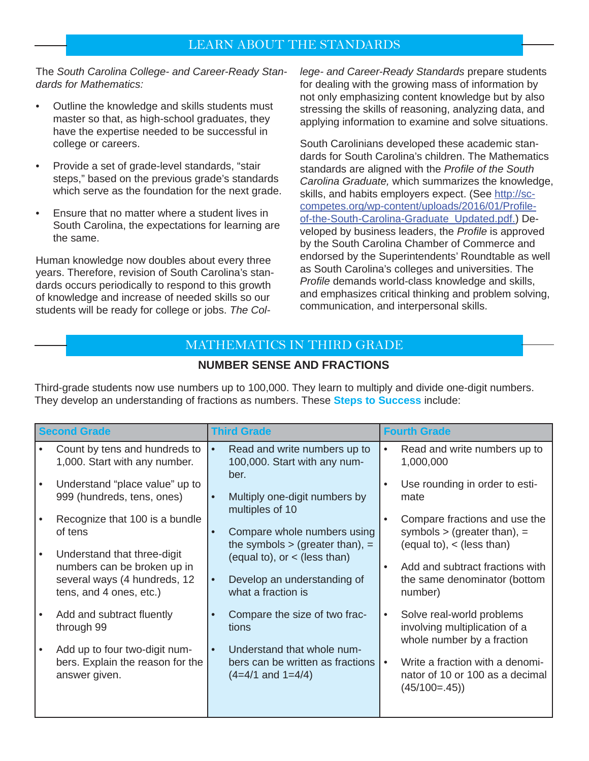### LEARN ABOUT THE STANDARDS

The *South Carolina College- and Career-Ready Standards for Mathematics:*

- Outline the knowledge and skills students must master so that, as high-school graduates, they have the expertise needed to be successful in college or careers.
- Provide a set of grade-level standards, "stair steps," based on the previous grade's standards which serve as the foundation for the next grade.
- Ensure that no matter where a student lives in South Carolina, the expectations for learning are the same.

Human knowledge now doubles about every three years. Therefore, revision of South Carolina's standards occurs periodically to respond to this growth of knowledge and increase of needed skills so our students will be ready for college or jobs. *The Col-* *lege- and Career-Ready Standards* prepare students for dealing with the growing mass of information by not only emphasizing content knowledge but by also stressing the skills of reasoning, analyzing data, and applying information to examine and solve situations.

South Carolinians developed these academic standards for South Carolina's children. The Mathematics standards are aligned with the *Profile of the South Carolina Graduate,* which summarizes the knowledge, skills, and habits employers expect. (See http://sccompetes.org/wp-content/uploads/2016/01/Profileof-the-South-Carolina-Graduate\_Updated.pdf.) Developed by business leaders, the *Profile* is approved by the South Carolina Chamber of Commerce and endorsed by the Superintendents' Roundtable as well as South Carolina's colleges and universities. The *Profile* demands world-class knowledge and skills, and emphasizes critical thinking and problem solving, communication, and interpersonal skills.

### MATHEMATICS IN THIRD GRADE

#### **NUMBER SENSE AND FRACTIONS**

Third-grade students now use numbers up to 100,000. They learn to multiply and divide one-digit numbers. They develop an understanding of fractions as numbers. These **Steps to Success** include:

| <b>Second Grade</b> |                                                                                                                       | <b>Third Grade</b>                                                                                   |  | <b>Fourth Grade</b>                                                                                                    |  |
|---------------------|-----------------------------------------------------------------------------------------------------------------------|------------------------------------------------------------------------------------------------------|--|------------------------------------------------------------------------------------------------------------------------|--|
|                     | Count by tens and hundreds to<br>1,000. Start with any number.                                                        | Read and write numbers up to<br>$\bullet$<br>100,000. Start with any num-<br>ber.                    |  | Read and write numbers up to<br>1,000,000                                                                              |  |
|                     | Understand "place value" up to<br>999 (hundreds, tens, ones)                                                          | Multiply one-digit numbers by<br>$\bullet$<br>multiples of 10                                        |  | Use rounding in order to esti-<br>mate                                                                                 |  |
|                     | Recognize that 100 is a bundle<br>of tens                                                                             | Compare whole numbers using<br>$\bullet$<br>the symbols $>$ (greater than), $=$                      |  | Compare fractions and use the<br>symbols $>$ (greater than), $=$<br>$\text{(equal to)}, \text{ & } \text{(less than)}$ |  |
|                     | Understand that three-digit<br>numbers can be broken up in<br>several ways (4 hundreds, 12<br>tens, and 4 ones, etc.) | (equal to), or $\lt$ (less than)<br>Develop an understanding of<br>$\bullet$<br>what a fraction is   |  | Add and subtract fractions with<br>the same denominator (bottom<br>number)                                             |  |
|                     | Add and subtract fluently<br>through 99                                                                               | Compare the size of two frac-<br>tions                                                               |  | Solve real-world problems<br>involving multiplication of a<br>whole number by a fraction                               |  |
|                     | Add up to four two-digit num-<br>bers. Explain the reason for the<br>answer given.                                    | Understand that whole num-<br>$\bullet$<br>bers can be written as fractions<br>$(4=4/1$ and $1=4/4)$ |  | Write a fraction with a denomi-<br>nator of 10 or 100 as a decimal<br>$(45/100=.45)$                                   |  |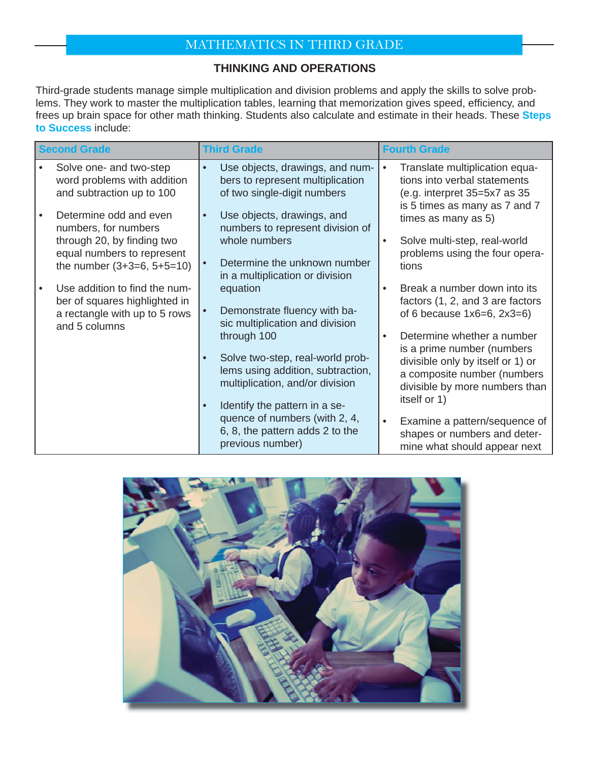# MATHEMATICS IN THIRD GRADE

#### **THINKING AND OPERATIONS**

Third-grade students manage simple multiplication and division problems and apply the skills to solve problems. They work to master the multiplication tables, learning that memorization gives speed, efficiency, and frees up brain space for other math thinking. Students also calculate and estimate in their heads. These **Steps to Success** include:

| <b>Second Grade</b> |                                                                                                                  | <b>Third Grade</b><br><b>Fourth Grade</b>                                                                                                                |           |                                                                                                                                                                                |
|---------------------|------------------------------------------------------------------------------------------------------------------|----------------------------------------------------------------------------------------------------------------------------------------------------------|-----------|--------------------------------------------------------------------------------------------------------------------------------------------------------------------------------|
|                     | Solve one- and two-step<br>word problems with addition<br>and subtraction up to 100                              | Use objects, drawings, and num-<br>$\bullet$<br>bers to represent multiplication<br>of two single-digit numbers                                          |           | Translate multiplication equa-<br>tions into verbal statements<br>(e.g. interpret 35=5x7 as 35<br>is 5 times as many as 7 and 7                                                |
|                     | Determine odd and even<br>numbers, for numbers                                                                   | Use objects, drawings, and<br>numbers to represent division of                                                                                           |           | times as many as 5)                                                                                                                                                            |
|                     | through 20, by finding two<br>equal numbers to represent<br>the number $(3+3=6, 5+5=10)$                         | whole numbers<br>Determine the unknown number<br>in a multiplication or division                                                                         | $\bullet$ | Solve multi-step, real-world<br>problems using the four opera-<br>tions                                                                                                        |
|                     | Use addition to find the num-<br>ber of squares highlighted in<br>a rectangle with up to 5 rows<br>and 5 columns | equation<br>Demonstrate fluency with ba-<br>sic multiplication and division                                                                              | $\bullet$ | Break a number down into its<br>factors (1, 2, and 3 are factors<br>of 6 because $1x6=6$ , $2x3=6$ )                                                                           |
|                     |                                                                                                                  | through 100<br>Solve two-step, real-world prob-<br>lems using addition, subtraction,<br>multiplication, and/or division<br>Identify the pattern in a se- |           | Determine whether a number<br>is a prime number (numbers<br>divisible only by itself or 1) or<br>a composite number (numbers<br>divisible by more numbers than<br>itself or 1) |
|                     |                                                                                                                  | quence of numbers (with 2, 4,<br>6, 8, the pattern adds 2 to the<br>previous number)                                                                     |           | Examine a pattern/sequence of<br>shapes or numbers and deter-<br>mine what should appear next                                                                                  |

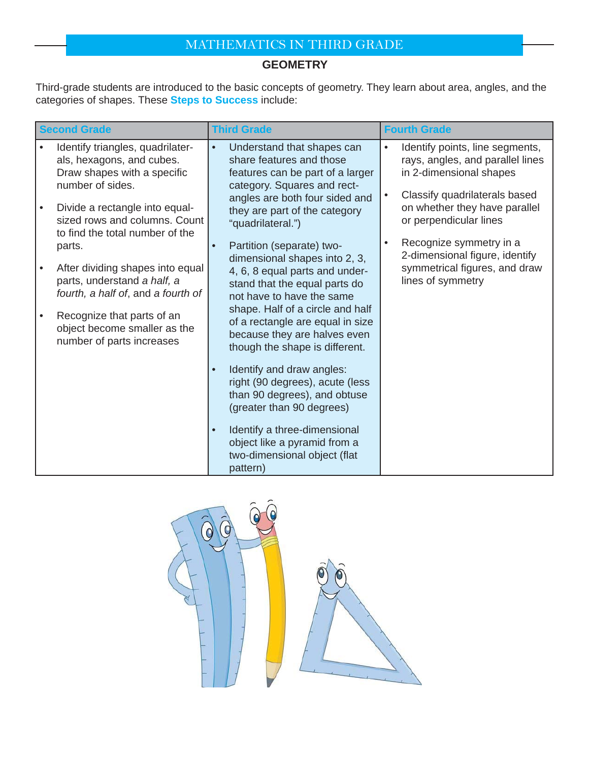# MATHEMATICS IN THIRD GRADE

### **GEOMETRY**

Third-grade students are introduced to the basic concepts of geometry. They learn about area, angles, and the categories of shapes. These **Steps to Success** include:

| <b>Second Grade</b> |                                                                                                                  | <b>Third Grade</b>                                                                                                                                                                                                                                 | <b>Fourth Grade</b> |                                                                                                                 |
|---------------------|------------------------------------------------------------------------------------------------------------------|----------------------------------------------------------------------------------------------------------------------------------------------------------------------------------------------------------------------------------------------------|---------------------|-----------------------------------------------------------------------------------------------------------------|
|                     | Identify triangles, quadrilater-<br>als, hexagons, and cubes.<br>Draw shapes with a specific<br>number of sides. | Understand that shapes can<br>$\bullet$<br>share features and those<br>features can be part of a larger<br>category. Squares and rect-                                                                                                             |                     | Identify points, line segments,<br>rays, angles, and parallel lines<br>in 2-dimensional shapes                  |
|                     | Divide a rectangle into equal-<br>sized rows and columns. Count<br>to find the total number of the               | angles are both four sided and<br>they are part of the category<br>"quadrilateral.")<br>Partition (separate) two-<br>dimensional shapes into 2, 3,<br>4, 6, 8 equal parts and under-<br>stand that the equal parts do<br>not have to have the same |                     | Classify quadrilaterals based<br>on whether they have parallel<br>or perpendicular lines                        |
|                     | parts.<br>After dividing shapes into equal<br>parts, understand a half, a<br>fourth, a half of, and a fourth of  |                                                                                                                                                                                                                                                    |                     | Recognize symmetry in a<br>2-dimensional figure, identify<br>symmetrical figures, and draw<br>lines of symmetry |
|                     | Recognize that parts of an<br>object become smaller as the<br>number of parts increases                          | shape. Half of a circle and half<br>of a rectangle are equal in size<br>because they are halves even<br>though the shape is different.                                                                                                             |                     |                                                                                                                 |
|                     |                                                                                                                  | Identify and draw angles:<br>right (90 degrees), acute (less<br>than 90 degrees), and obtuse<br>(greater than 90 degrees)                                                                                                                          |                     |                                                                                                                 |
|                     |                                                                                                                  | Identify a three-dimensional<br>$\bullet$<br>object like a pyramid from a<br>two-dimensional object (flat<br>pattern)                                                                                                                              |                     |                                                                                                                 |

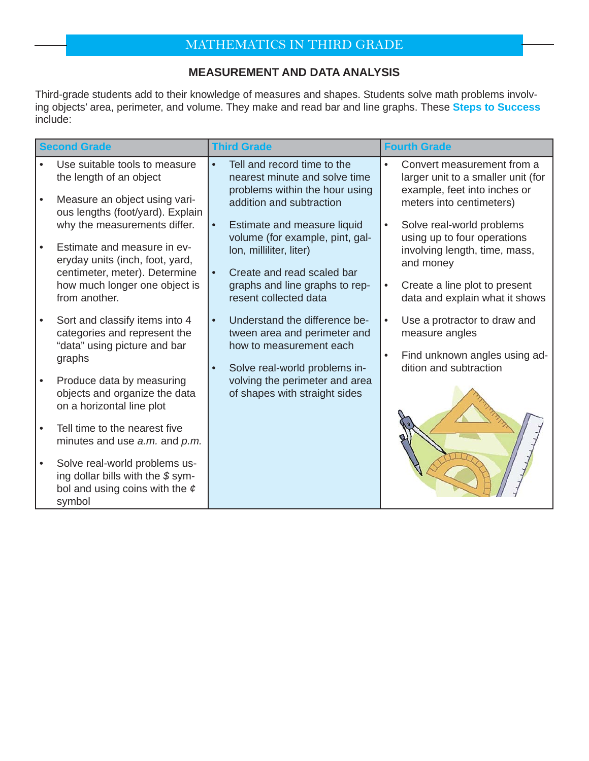# MATHEMATICS IN THIRD GRADE

#### **MEASUREMENT AND DATA ANALYSIS**

Third-grade students add to their knowledge of measures and shapes. Students solve math problems involving objects' area, perimeter, and volume. They make and read bar and line graphs. These **Steps to Success** include:

| <b>Second Grade</b> |                                                                                                                                 | <b>Third Grade</b>                                                                                                                                |           | <b>Fourth Grade</b>                                                                                    |  |
|---------------------|---------------------------------------------------------------------------------------------------------------------------------|---------------------------------------------------------------------------------------------------------------------------------------------------|-----------|--------------------------------------------------------------------------------------------------------|--|
|                     | Use suitable tools to measure<br>the length of an object                                                                        | Tell and record time to the<br>$\bullet$<br>nearest minute and solve time<br>problems within the hour using                                       | $\bullet$ | Convert measurement from a<br>larger unit to a smaller unit (for<br>example, feet into inches or       |  |
|                     | Measure an object using vari-<br>ous lengths (foot/yard). Explain                                                               | addition and subtraction                                                                                                                          |           | meters into centimeters)                                                                               |  |
|                     | why the measurements differ.<br>Estimate and measure in ev-<br>eryday units (inch, foot, yard,<br>centimeter, meter). Determine | Estimate and measure liquid<br>$\bullet$<br>volume (for example, pint, gal-<br>lon, milliliter, liter)<br>Create and read scaled bar<br>$\bullet$ |           | Solve real-world problems<br>using up to four operations<br>involving length, time, mass,<br>and money |  |
|                     | how much longer one object is<br>from another.                                                                                  | graphs and line graphs to rep-<br>resent collected data                                                                                           |           | Create a line plot to present<br>data and explain what it shows                                        |  |
|                     | Sort and classify items into 4<br>categories and represent the<br>"data" using picture and bar                                  | Understand the difference be-<br>$\bullet$<br>tween area and perimeter and<br>how to measurement each                                             | $\bullet$ | Use a protractor to draw and<br>measure angles                                                         |  |
|                     | graphs                                                                                                                          | Solve real-world problems in-<br>$\bullet$                                                                                                        |           | Find unknown angles using ad-<br>dition and subtraction                                                |  |
|                     | Produce data by measuring<br>objects and organize the data<br>on a horizontal line plot                                         | volving the perimeter and area<br>of shapes with straight sides                                                                                   |           |                                                                                                        |  |
|                     | Tell time to the nearest five<br>minutes and use a.m. and p.m.                                                                  |                                                                                                                                                   |           |                                                                                                        |  |
|                     | Solve real-world problems us-<br>ing dollar bills with the \$sym-<br>bol and using coins with the $\epsilon$<br>symbol          |                                                                                                                                                   |           |                                                                                                        |  |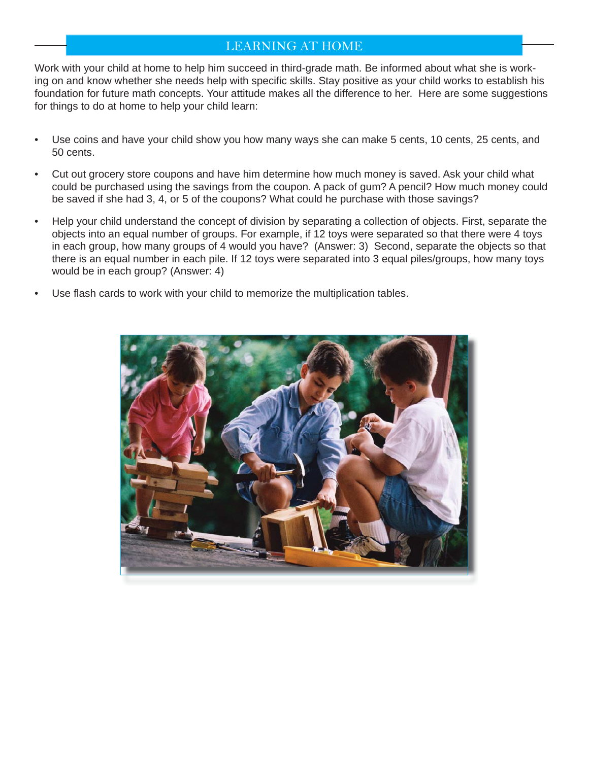### LEARNING AT HOME

Work with your child at home to help him succeed in third-grade math. Be informed about what she is working on and know whether she needs help with specific skills. Stay positive as your child works to establish his foundation for future math concepts. Your attitude makes all the difference to her. Here are some suggestions for things to do at home to help your child learn:

- Use coins and have your child show you how many ways she can make 5 cents, 10 cents, 25 cents, and 50 cents.
- Cut out grocery store coupons and have him determine how much money is saved. Ask your child what could be purchased using the savings from the coupon. A pack of gum? A pencil? How much money could be saved if she had 3, 4, or 5 of the coupons? What could he purchase with those savings?
- Help your child understand the concept of division by separating a collection of objects. First, separate the objects into an equal number of groups. For example, if 12 toys were separated so that there were 4 toys in each group, how many groups of 4 would you have? (Answer: 3) Second, separate the objects so that there is an equal number in each pile. If 12 toys were separated into 3 equal piles/groups, how many toys would be in each group? (Answer: 4)
- Use flash cards to work with your child to memorize the multiplication tables.